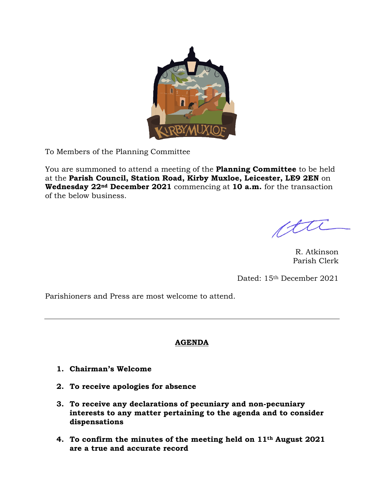

To Members of the Planning Committee

You are summoned to attend a meeting of the **Planning Committee** to be held at the **Parish Council, Station Road, Kirby Muxloe, Leicester, LE9 2EN** on **Wednesday 22nd December 2021** commencing at **10 a.m.** for the transaction of the below business.

ftu

R. Atkinson Parish Clerk

Dated: 15th December 2021

Parishioners and Press are most welcome to attend.

# **AGENDA**

- **1. Chairman's Welcome**
- **2. To receive apologies for absence**
- **3. To receive any declarations of pecuniary and non-pecuniary interests to any matter pertaining to the agenda and to consider dispensations**
- **4. To confirm the minutes of the meeting held on 11th August 2021 are a true and accurate record**